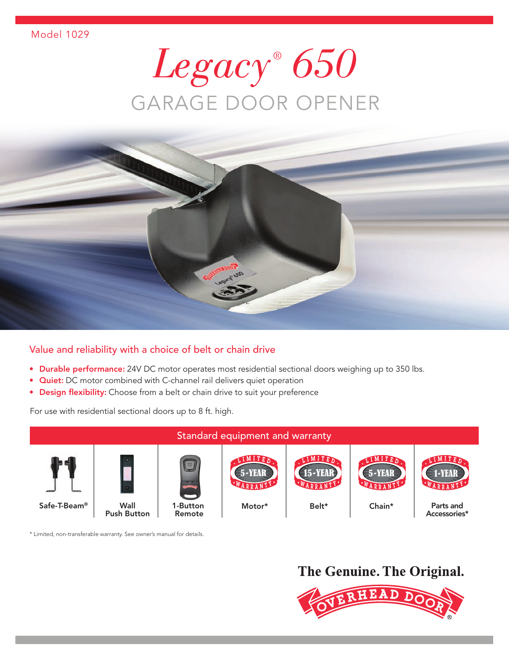# *Legacy ® 650*  GARAGE DOOR OPENER



### Value and reliability with a choice of belt or chain drive

- Durable performance: 24V DC motor operates most residential sectional doors weighing up to 350 lbs.
- Quiet: DC motor combined with C-channel rail delivers quiet operation
- Design flexibility: Choose from a belt or chain drive to suit your preference

For use with residential sectional doors up to 8 ft. high.



\* Limited, non-transferable warranty. See owner's manual for details.

### The Genuine. The Original.